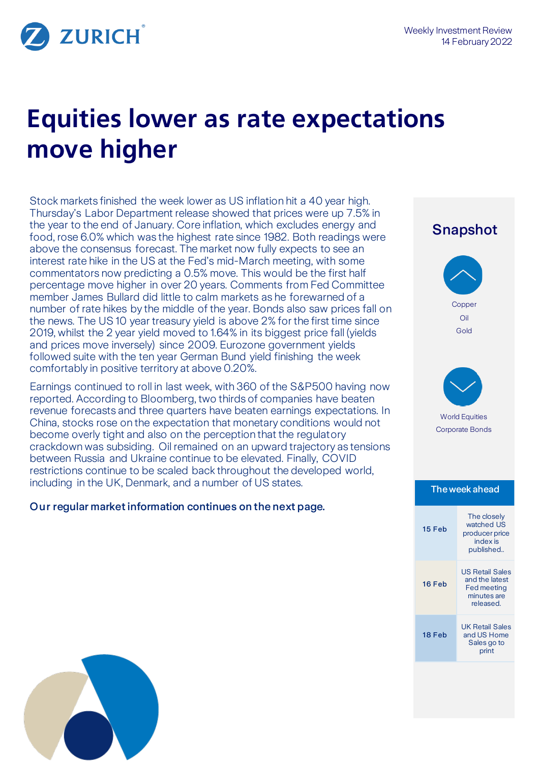

# **Equities lower as rate expectations move higher**

Stock markets finished the week lower as US inflation hit a 40 year high. Thursday's Labor Department release showed that prices were up 7.5% in the year to the end of January. Core inflation, which excludes energy and food, rose 6.0% which was the highest rate since 1982. Both readings were above the consensus forecast. The market now fully expects to see an interest rate hike in the US at the Fed's mid-March meeting, with some commentators now predicting a 0.5% move. This would be the first half percentage move higher in over 20 years. Comments from Fed Committee member James Bullard did little to calm markets as he forewarned of a number of rate hikes by the middle of the year. Bonds also saw prices fall on the news. The US 10 year treasury yield is above 2% for the first time since 2019, whilst the 2 year yield moved to 1.64% in its biggest price fall (yields and prices move inversely) since 2009. Eurozone government yields followed suite with the ten year German Bund yield finishing the week comfortably in positive territory at above 0.20%.

Earnings continued to roll in last week, with 360 of the S&P500 having now reported. According to Bloomberg, two thirds of companies have beaten revenue forecasts and three quarters have beaten earnings expectations. In China, stocks rose on the expectation that monetary conditions would not become overly tight and also on the perception that the regulatory crackdown was subsiding. Oil remained on an upward trajectory as tensions between Russia and Ukraine continue to be elevated. Finally, COVID restrictions continue to be scaled back throughout the developed world, including in the UK, Denmark, and a number of US states.

# Our regular market information continues on the next page.